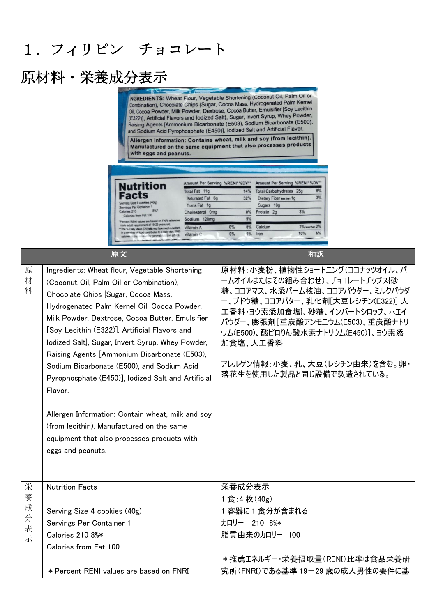## 1.フィリピン チョコレート

| ノンコマンドコープトー                | ハトベルハノナイバ                                                                                                                                                                                                                                                                                                                                                                                                                                                                                                                                                                                                                                                                    |                                                                                                                                                                                                                                                                                                                                                                                                                                                                                                                                                                                                                                                                                                                                                                                                                                    |
|----------------------------|------------------------------------------------------------------------------------------------------------------------------------------------------------------------------------------------------------------------------------------------------------------------------------------------------------------------------------------------------------------------------------------------------------------------------------------------------------------------------------------------------------------------------------------------------------------------------------------------------------------------------------------------------------------------------|------------------------------------------------------------------------------------------------------------------------------------------------------------------------------------------------------------------------------------------------------------------------------------------------------------------------------------------------------------------------------------------------------------------------------------------------------------------------------------------------------------------------------------------------------------------------------------------------------------------------------------------------------------------------------------------------------------------------------------------------------------------------------------------------------------------------------------|
|                            | and Sodium Acid Pyrophosphate (E450)], lodized Salt and Artificial Flavor.<br>with eggs and peanuts.<br><b>Nutrition</b><br>Total Fat 11g<br>Facts<br>Saturated Fat 6g<br>Trans Fat 1g<br>Cholesterol 0mg<br>Sodium 120mg<br>If values are based on FNRI re<br>equirement of 19-29 years old<br>Vitamin A<br>Value (DV) talks you how much a nutrient<br>Vitamin C                                                                                                                                                                                                                                                                                                           | NGREDIENTS: Wheat Flour, Vegetable Shortening (Coconut Oil, Palm Oil or<br>Combination), Chocolate Chips {Sugar, Cocoa Mass, Hydrogenated Palm Kernel<br>Oil, Cocoa Powder, Milk Powder, Dextrose, Cocoa Butter, Emulsifier [Soy Lecithin<br>(E322)], Artificial Flavors and Iodized Salt}, Sugar, Invert Syrup, Whey Powder,<br>Raising Agents [Ammonium Bicarbonate (E503), Sodium Bicarbonate (E500),<br>Allergen Information: Contains wheat, milk and soy (from lecithin).<br>Manufactured on the same equipment that also processes products<br>Amount Per Serving %RENI* %DV**<br>Amount Per Serving %RENI* %DV**<br>Total Carbohydrates 25g<br>9%<br>14%<br>3%<br>Dietary Fiber warm 1g<br>32%<br>Sugars 10g<br>3%<br>$0\%$<br>Protein 2g<br>5%<br>Calcium<br>2% less than 2%<br>0%<br>0%<br>6%<br>10%<br>0%<br>Iron<br>0% |
|                            | 原文                                                                                                                                                                                                                                                                                                                                                                                                                                                                                                                                                                                                                                                                           | 和訳                                                                                                                                                                                                                                                                                                                                                                                                                                                                                                                                                                                                                                                                                                                                                                                                                                 |
| 原<br>材<br>料                | Ingredients: Wheat flour, Vegetable Shortening<br>(Coconut Oil, Palm Oil or Combination),<br>Chocolate Chips {Sugar, Cocoa Mass,<br>Hydrogenated Palm Kernel Oil, Cocoa Powder,<br>Milk Powder, Dextrose, Cocoa Butter, Emulsifier<br>[Soy Lecithin (E322)], Artificial Flavors and<br>Iodized Salt), Sugar, Invert Syrup, Whey Powder,<br>Raising Agents [Ammonium Bicarbonate (E503),<br>Sodium Bicarbonate (E500), and Sodium Acid<br>Pyrophosphate (E450)], Iodized Salt and Artificial<br>Flavor.<br>Allergen Information: Contain wheat, milk and soy<br>(from lecithin). Manufactured on the same<br>equipment that also processes products with<br>eggs and peanuts. | 原材料:小麦粉、植物性ショートニング(ココナッツオイル、パ<br>ームオイルまたはその組み合わせ)、チョコレートチップス【砂<br>糖、ココアマス、水添パーム核油、ココアパウダー、ミルクパウダ<br>ー、ブドウ糖、ココアバター、乳化剤[大豆レシチン(E322)] 人<br>工香料・ヨウ素添加食塩}、砂糖、インバートシロップ、ホエイ<br>パウダー、膨張剤[重炭酸アンモニウム(E503)、重炭酸ナトリ<br>ウム(E500)、酸ピロりん酸水素ナトリウム(E450)]、ヨウ素添<br>加食塩、人工香料<br>アレルゲン情報:小麦、乳、大豆(レシチン由来)を含む。卵・<br>落花生を使用した製品と同じ設備で製造されている。                                                                                                                                                                                                                                                                                                                                                                                                                                                                                                           |
| 栄<br>養<br>成<br>分<br>表<br>示 | <b>Nutrition Facts</b><br>Serving Size 4 cookies (40g)<br>Servings Per Container 1<br>Calories 210 8%*<br>Calories from Fat 100                                                                                                                                                                                                                                                                                                                                                                                                                                                                                                                                              | 栄養成分表示<br>1 食:4 枚(40g)<br>1 容器に 1 食分が含まれる<br>カロリー 210 8%*<br>脂質由来のカロリー 100                                                                                                                                                                                                                                                                                                                                                                                                                                                                                                                                                                                                                                                                                                                                                         |
|                            | * Percent RENI values are based on FNRI                                                                                                                                                                                                                                                                                                                                                                                                                                                                                                                                                                                                                                      | *推薦エネルギー・栄養摂取量(RENI)比率は食品栄養研<br>究所(FNRI)である基準 19-29 歳の成人男性の要件に基                                                                                                                                                                                                                                                                                                                                                                                                                                                                                                                                                                                                                                                                                                                                                                    |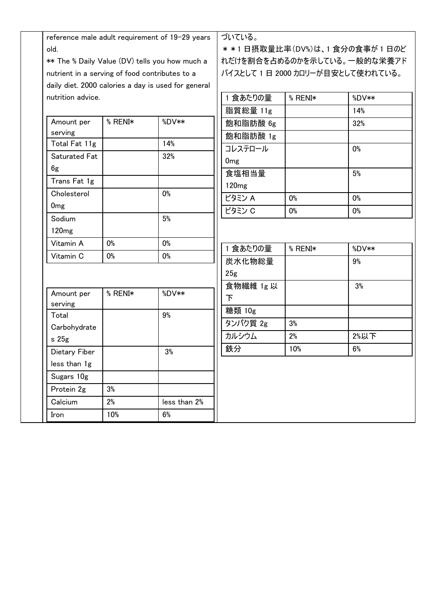|                                                |         | reference male adult requirement of 19-29 years     | づいている。                      |                             |                                   |  |  |  |
|------------------------------------------------|---------|-----------------------------------------------------|-----------------------------|-----------------------------|-----------------------------------|--|--|--|
| old.                                           |         |                                                     | **1日摂取量比率(DV%)は、1食分の食事が1日のど |                             |                                   |  |  |  |
|                                                |         | ** The % Daily Value (DV) tells you how much a      |                             | れだけを割合を占めるのかを示している。一般的な栄養アド |                                   |  |  |  |
| nutrient in a serving of food contributes to a |         |                                                     |                             |                             | バイスとして 1 日 2000 カロリーが目安として使われている。 |  |  |  |
|                                                |         | daily diet. 2000 calories a day is used for general |                             |                             |                                   |  |  |  |
| nutrition advice.                              |         |                                                     | 1 食あたりの量                    | % RENI*                     | %DV**                             |  |  |  |
|                                                |         |                                                     | 脂質総量 11g                    |                             | 14%                               |  |  |  |
| Amount per                                     | % RENI* | %DV**                                               | 飽和脂肪酸 6g                    |                             | 32%                               |  |  |  |
| serving                                        |         |                                                     | 飽和脂肪酸 1g                    |                             |                                   |  |  |  |
| Total Fat 11g                                  |         | 14%                                                 | コレステロール                     |                             | 0%                                |  |  |  |
| Saturated Fat                                  |         | 32%                                                 | 0 <sub>mg</sub>             |                             |                                   |  |  |  |
| 6g                                             |         |                                                     | 食塩相当量                       |                             | 5%                                |  |  |  |
| Trans Fat 1g                                   |         |                                                     | 120 <sub>mg</sub>           |                             |                                   |  |  |  |
| Cholesterol                                    |         | 0%                                                  | ビタミン A                      | 0%                          | 0%                                |  |  |  |
| 0 <sub>mg</sub>                                |         |                                                     | ビタミン C                      | 0%                          | 0%                                |  |  |  |
| Sodium                                         |         | 5%                                                  |                             |                             |                                   |  |  |  |
| 120 <sub>mg</sub>                              |         |                                                     |                             |                             |                                   |  |  |  |
| Vitamin A                                      | 0%      | 0%                                                  | 1 食あたりの量                    | $%$ RENI $*$                | %DV**                             |  |  |  |
| Vitamin C                                      | 0%      | 0%                                                  |                             |                             |                                   |  |  |  |
|                                                |         |                                                     | 炭水化物総量                      |                             | 9%                                |  |  |  |
|                                                |         |                                                     | 25 <sub>g</sub>             |                             |                                   |  |  |  |
| Amount per                                     | % RENI* | %DV**                                               | 食物繊維 1g 以                   |                             | 3%                                |  |  |  |
| serving                                        |         |                                                     | 下                           |                             |                                   |  |  |  |
| Total                                          |         | 9%                                                  | 糖類 10g                      |                             |                                   |  |  |  |
| Carbohydrate                                   |         |                                                     | タンパク質 2g                    | 3%                          |                                   |  |  |  |
| s 25g                                          |         |                                                     | カルシウム                       | 2%                          | 2%以下                              |  |  |  |
| Dietary Fiber                                  |         | 3%                                                  | 鉄分                          | 10%                         | 6%                                |  |  |  |
| less than 1g                                   |         |                                                     |                             |                             |                                   |  |  |  |
| Sugars 10g                                     |         |                                                     |                             |                             |                                   |  |  |  |
| Protein 2g                                     | 3%      |                                                     |                             |                             |                                   |  |  |  |
| Calcium                                        | $2\%$   | less than 2%                                        |                             |                             |                                   |  |  |  |
| Iron                                           | 10%     | 6%                                                  |                             |                             |                                   |  |  |  |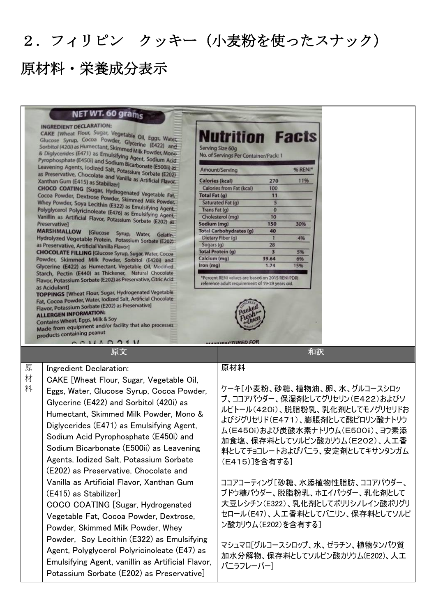# 2.フィリピン クッキー(小麦粉を使ったスナック)

| NET WT. 60 grams<br><b>INGREDIENT DECLARATION:</b><br>CAKE (Wheat Flour, Sugar, Vegetable Oil, Eggs, Water,<br>Glucose Syrup, Cocoa Powder, Glycerine (E422) and<br>Sorbitol (420i) as Humectant, Skimmed Milk Powder, Mono<br>& Diglycerides (E471) as Emulsifying Agent, Sodium Acid<br>Pyrophosphate (E450i) and Sodium Bicarbonate (E500ii) as<br>Leavening Agents, Iodized Salt, Potassium Sorbate (E202)<br>as Preservative, Chocolate and Vanilla as Artificial Flavor,<br>Xanthan Gum (E415) as Stabilizer)<br>CHOCO COATING [Sugar, Hydrogenated Vegetable Fat,<br>Cocoa Powder, Dextrose Powder, Skimmed Milk Powder,<br>Whey Powder, Soya Lecithin (E322) as Emulsifying Agent.<br>Polyglycerol Polyricinoleate (E476) as Emulsifying Agent,<br>Vanillin as Artificial Flavor, Potassium Sorbate (E202) as<br>Preservative]<br>MARSHMALLOW [Glucose Syrup, Water, Gelatin,<br>Hydrolyzed Vegetable Protein, Potassium Sorbate (E202)<br>as Preservative, Artificial Vanilla Flavor]<br><b>CHOCOLATE FILLING [Glucose Syrup, Sugar, Water, Cocoa</b><br>Powder, Skimmed Milk Powder, Sorbitol (E420i) and<br>Glycerine (E422) as Humectant, Vegetable Oil, Modified<br>Starch, Pectin (E440) as Thickener, Natural Chocolate<br>Flavor, Potassium Sorbate (E202) as Preservative, Citric Acid<br>as Acidulant]<br><b>TOPPINGS [Wheat Flour, Sugar, Hydrogenated Vegetable</b><br>Fat, Cocoa Powder, Water, Iodized Salt, Artificial Chocolate<br>Flavor, Potassium Sorbate (E202) as Preservative]<br><b>ALLERGEN INFORMATION:</b><br>Contains Wheat, Eggs, Milk & Soy<br>Made from equipment and/or facility that also processes<br>products containing peanut | <b>Nutrition Facts</b><br>Serving Size 60g<br>No. of Servings Per Container/Pack: 1<br><b>96 RENI*</b><br>Amount/Serving<br><b>Calories (kcal)</b><br>11%<br>270<br>Calories from Fat (kcal)<br>100<br><b>Total Fat (g)</b><br>11<br>Saturated Fat (q)<br>$\overline{\mathbf{5}}$<br>$\ddot{\mathbf{0}}$<br>Trans Fat (g)<br>Cholesterol (mg)<br>10<br>Sodium (mg)<br>150<br>30%<br><b>Total Carbohydrates (g)</b><br>40<br>Dietary Fiber (g)<br>$\mathbf{I}$<br>4%<br>Sugars (g)<br>28<br><b>Total Protein (g)</b><br>$\overline{\mathbf{3}}$<br>5%<br>Calcium (mg)<br>39.64<br>6%<br>Iron (mg)<br>1.74<br>1596<br>*Percent RENI values are based on 2015 RENI PDRI<br>reference adult requirement of 19-29 years old. |
|---------------------------------------------------------------------------------------------------------------------------------------------------------------------------------------------------------------------------------------------------------------------------------------------------------------------------------------------------------------------------------------------------------------------------------------------------------------------------------------------------------------------------------------------------------------------------------------------------------------------------------------------------------------------------------------------------------------------------------------------------------------------------------------------------------------------------------------------------------------------------------------------------------------------------------------------------------------------------------------------------------------------------------------------------------------------------------------------------------------------------------------------------------------------------------------------------------------------------------------------------------------------------------------------------------------------------------------------------------------------------------------------------------------------------------------------------------------------------------------------------------------------------------------------------------------------------------------------------------------------------------------------------------------------------|-------------------------------------------------------------------------------------------------------------------------------------------------------------------------------------------------------------------------------------------------------------------------------------------------------------------------------------------------------------------------------------------------------------------------------------------------------------------------------------------------------------------------------------------------------------------------------------------------------------------------------------------------------------------------------------------------------------------------|
| $\begin{array}{c} \n 0.11100411\n \end{array}$<br>原文                                                                                                                                                                                                                                                                                                                                                                                                                                                                                                                                                                                                                                                                                                                                                                                                                                                                                                                                                                                                                                                                                                                                                                                                                                                                                                                                                                                                                                                                                                                                                                                                                      | <b>EACTURED FOR</b><br>和訳                                                                                                                                                                                                                                                                                                                                                                                                                                                                                                                                                                                                                                                                                               |
| 原<br>Ingredient Declaration:<br>材<br>CAKE [Wheat Flour, Sugar, Vegetable Oil,<br>料<br>Eggs, Water, Glucose Syrup, Cocoa Powder,<br>Glycerine (E422) and Sorbitol (420i) as<br>Humectant, Skimmed Milk Powder, Mono &<br>Diglycerides (E471) as Emulsifying Agent,<br>Sodium Acid Pyrophosphate (E450i) and<br>Sodium Bicarbonate (E500ii) as Leavening<br>Agents, Iodized Salt, Potassium Sorbate<br>(E202) as Preservative, Chocolate and<br>Vanilla as Artificial Flavor, Xanthan Gum<br>$(E415)$ as Stabilizer]<br>COCO COATING [Sugar, Hydrogenated<br>Vegetable Fat, Cocoa Powder, Dextrose,<br>Powder, Skimmed Milk Powder, Whey<br>Powder, Soy Lecithin (E322) as Emulsifying<br>Agent, Polyglycerol Polyricinoleate (E47) as<br>Emulsifying Agent, vanillin as Artificial Flavor,<br>Potassium Sorbate (E202) as Preservative]                                                                                                                                                                                                                                                                                                                                                                                                                                                                                                                                                                                                                                                                                                                                                                                                                                    | 原材料<br>ケーキ[小麦粉、砂糖、植物油、卵、水、グルコースシロッ<br>プ、ココアパウダー、保湿剤としてグリセリン(E422)およびソ<br>ルビトール(420i)、脱脂粉乳、乳化剤としてモノグリセリドお<br>よびジグリセリド(E471)、膨脹剤として酸ピロリン酸ナトリウ<br>ム(E450i)および炭酸水素ナトリウム(E500ii)、ヨウ素添<br>加食塩、保存料としてソルビン酸カリウム(E202)、人工香<br>料としてチョコレートおよびバニラ、安定剤としてキサンタンガム<br>(E415)]を含有する]<br>ココアコーティング[砂糖、水添植物性脂肪、ココアパウダー、<br>ブドウ糖パウダー、脱脂粉乳、ホエイパウダー、乳化剤として<br>大豆レシチン(E322)、乳化剤としてポリリシノレイン酸ポリグリ<br>セロール(E47)、人工香料としてバニリン、保存料としてソルビ<br>ン酸カリウム(E202)を含有する]<br>マシュマロ[グルコースシロップ、水、ゼラチン、植物タンパク質<br>加水分解物、保存料としてソルビン酸カリウム(E202)、人工<br>バニラフレーバー]                                                                                                                                                                                                     |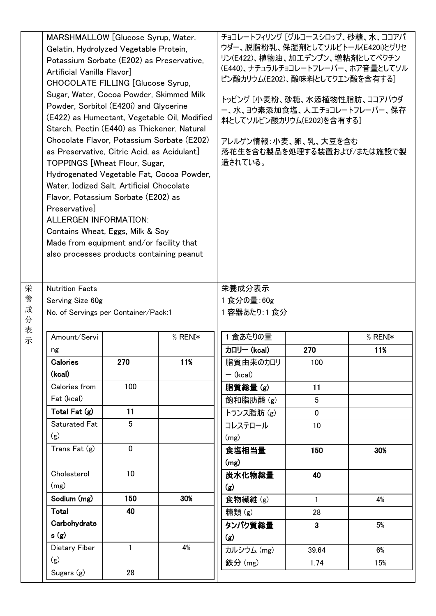|        | MARSHMALLOW [Glucose Syrup, Water,<br>Gelatin, Hydrolyzed Vegetable Protein,<br>Potassium Sorbate (E202) as Preservative,<br>Artificial Vanilla Flavor]<br>CHOCOLATE FILLING [Glucose Syrup,<br>Sugar, Water, Cocoa Powder, Skimmed Milk<br>Powder, Sorbitol (E420i) and Glycerine<br>(E422) as Humectant, Vegetable Oil, Modified<br>Starch, Pectin (E440) as Thickener, Natural<br>Chocolate Flavor, Potassium Sorbate (E202)<br>as Preservative, Citric Acid, as Acidulant]<br><b>TOPPINGS [Wheat Flour, Sugar,</b><br>Hydrogenated Vegetable Fat, Cocoa Powder,<br>Water, Iodized Salt, Artificial Chocolate<br>Flavor, Potassium Sorbate (E202) as<br>Preservative]<br><b>ALLERGEN INFORMATION:</b><br>Contains Wheat, Eggs, Milk & Soy<br>Made from equipment and/or facility that<br>also processes products containing peanut |              |              | チョコレートフィリング [グルコースシロップ、砂糖、水、ココアパ<br>ウダー、脱脂粉乳、保湿剤としてソルビトール(E420i)とグリセ<br>リン(E422)、植物油、加エデンプン、増粘剤としてペクチン<br>(E440)、ナチュラルチョコレートフレーバー、ホア音量としてソル<br>ビン酸カリウム(E202)、酸味料としてクエン酸を含有する]<br>トッピング [小麦粉、砂糖、水添植物性脂肪、ココアパウダ<br>ー、水、ヨウ素添加食塩、人エチョコレートフレーバー、保存<br>料としてソルビン酸カリウム(E202)を含有する]<br>アレルゲン情報:小麦、卵、乳、大豆を含む<br>落花生を含む製品を処理する装置および/または施設で製<br>造されている。 |              |              |
|--------|---------------------------------------------------------------------------------------------------------------------------------------------------------------------------------------------------------------------------------------------------------------------------------------------------------------------------------------------------------------------------------------------------------------------------------------------------------------------------------------------------------------------------------------------------------------------------------------------------------------------------------------------------------------------------------------------------------------------------------------------------------------------------------------------------------------------------------------|--------------|--------------|---------------------------------------------------------------------------------------------------------------------------------------------------------------------------------------------------------------------------------------------------------------------------------------------------------------------------------------------|--------------|--------------|
| 栄      | <b>Nutrition Facts</b>                                                                                                                                                                                                                                                                                                                                                                                                                                                                                                                                                                                                                                                                                                                                                                                                                |              |              | 栄養成分表示                                                                                                                                                                                                                                                                                                                                      |              |              |
| 養      | Serving Size 60g                                                                                                                                                                                                                                                                                                                                                                                                                                                                                                                                                                                                                                                                                                                                                                                                                      |              | 1食分の量: 60g   |                                                                                                                                                                                                                                                                                                                                             |              |              |
| 成      | 1 容器あたり:1 食分<br>No. of Servings per Container/Pack:1                                                                                                                                                                                                                                                                                                                                                                                                                                                                                                                                                                                                                                                                                                                                                                                  |              |              |                                                                                                                                                                                                                                                                                                                                             |              |              |
| 分<br>表 |                                                                                                                                                                                                                                                                                                                                                                                                                                                                                                                                                                                                                                                                                                                                                                                                                                       |              |              |                                                                                                                                                                                                                                                                                                                                             |              |              |
| 示      | Amount/Servi                                                                                                                                                                                                                                                                                                                                                                                                                                                                                                                                                                                                                                                                                                                                                                                                                          |              | $%$ RENI $*$ | 1 食あたりの量                                                                                                                                                                                                                                                                                                                                    |              | $%$ RENI $*$ |
|        | ng                                                                                                                                                                                                                                                                                                                                                                                                                                                                                                                                                                                                                                                                                                                                                                                                                                    |              |              | カロリー (kcal)                                                                                                                                                                                                                                                                                                                                 | 270          | 11%          |
|        | <b>Calories</b>                                                                                                                                                                                                                                                                                                                                                                                                                                                                                                                                                                                                                                                                                                                                                                                                                       | 270          | 11%          | 脂質由来のカロリ                                                                                                                                                                                                                                                                                                                                    | 100          |              |
|        |                                                                                                                                                                                                                                                                                                                                                                                                                                                                                                                                                                                                                                                                                                                                                                                                                                       |              |              |                                                                                                                                                                                                                                                                                                                                             |              |              |
|        | (kcal)                                                                                                                                                                                                                                                                                                                                                                                                                                                                                                                                                                                                                                                                                                                                                                                                                                |              |              | $-$ (kcal)                                                                                                                                                                                                                                                                                                                                  |              |              |
|        | Calories from                                                                                                                                                                                                                                                                                                                                                                                                                                                                                                                                                                                                                                                                                                                                                                                                                         | 100          |              | 脂質総量(g)                                                                                                                                                                                                                                                                                                                                     | 11           |              |
|        | Fat (kcal)                                                                                                                                                                                                                                                                                                                                                                                                                                                                                                                                                                                                                                                                                                                                                                                                                            |              |              | 飽和脂肪酸(g)                                                                                                                                                                                                                                                                                                                                    | 5            |              |
|        | Total Fat (g)                                                                                                                                                                                                                                                                                                                                                                                                                                                                                                                                                                                                                                                                                                                                                                                                                         | 11           |              | トランス脂肪 (g)                                                                                                                                                                                                                                                                                                                                  | $\mathbf 0$  |              |
|        | Saturated Fat                                                                                                                                                                                                                                                                                                                                                                                                                                                                                                                                                                                                                                                                                                                                                                                                                         | 5            |              | コレステロール                                                                                                                                                                                                                                                                                                                                     | 10           |              |
|        | (g)                                                                                                                                                                                                                                                                                                                                                                                                                                                                                                                                                                                                                                                                                                                                                                                                                                   |              |              | (mg)                                                                                                                                                                                                                                                                                                                                        |              |              |
|        | Trans $Fat(g)$                                                                                                                                                                                                                                                                                                                                                                                                                                                                                                                                                                                                                                                                                                                                                                                                                        | $\mathbf 0$  |              | 食塩相当量                                                                                                                                                                                                                                                                                                                                       | 150          | 30%          |
|        |                                                                                                                                                                                                                                                                                                                                                                                                                                                                                                                                                                                                                                                                                                                                                                                                                                       |              |              | (mg)                                                                                                                                                                                                                                                                                                                                        |              |              |
|        | Cholesterol                                                                                                                                                                                                                                                                                                                                                                                                                                                                                                                                                                                                                                                                                                                                                                                                                           | 10           |              | 炭水化物総量                                                                                                                                                                                                                                                                                                                                      | 40           |              |
|        | (mg)                                                                                                                                                                                                                                                                                                                                                                                                                                                                                                                                                                                                                                                                                                                                                                                                                                  |              |              | (g)                                                                                                                                                                                                                                                                                                                                         |              |              |
|        | Sodium (mg)                                                                                                                                                                                                                                                                                                                                                                                                                                                                                                                                                                                                                                                                                                                                                                                                                           | 150          | 30%          | 食物繊維(g)                                                                                                                                                                                                                                                                                                                                     | $\mathbf{1}$ | 4%           |
|        | Total                                                                                                                                                                                                                                                                                                                                                                                                                                                                                                                                                                                                                                                                                                                                                                                                                                 | 40           |              | 糖類(g)                                                                                                                                                                                                                                                                                                                                       | 28           |              |
|        | Carbohydrate                                                                                                                                                                                                                                                                                                                                                                                                                                                                                                                                                                                                                                                                                                                                                                                                                          |              |              | タンパク質総量                                                                                                                                                                                                                                                                                                                                     | $\mathbf{3}$ | 5%           |
|        | s(g)                                                                                                                                                                                                                                                                                                                                                                                                                                                                                                                                                                                                                                                                                                                                                                                                                                  |              |              | (g)                                                                                                                                                                                                                                                                                                                                         |              |              |
|        | Dietary Fiber                                                                                                                                                                                                                                                                                                                                                                                                                                                                                                                                                                                                                                                                                                                                                                                                                         | $\mathbf{1}$ | 4%           | カルシウム (mg)                                                                                                                                                                                                                                                                                                                                  | 39.64        | 6%           |
|        | (g)                                                                                                                                                                                                                                                                                                                                                                                                                                                                                                                                                                                                                                                                                                                                                                                                                                   |              |              | 鉄分 (mg)                                                                                                                                                                                                                                                                                                                                     | 1.74         | 15%          |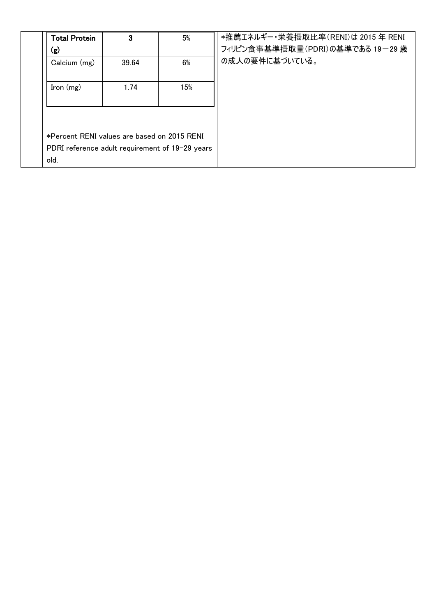| <b>Total Protein</b><br>(g) | 3                                               | 5%  | *推薦エネルギー・栄養摂取比率(RENI)は 2015年 RENI<br>フィリピン食事基準摂取量(PDRI)の基準である 19-29 歳 |
|-----------------------------|-------------------------------------------------|-----|-----------------------------------------------------------------------|
| Calcium (mg)                | 39.64                                           | 6%  | の成人の要件に基づいている。                                                        |
| Iron $(mg)$                 | 1.74                                            | 15% |                                                                       |
|                             |                                                 |     |                                                                       |
|                             | *Percent RENI values are based on 2015 RENI     |     |                                                                       |
|                             | PDRI reference adult requirement of 19-29 years |     |                                                                       |
| old.                        |                                                 |     |                                                                       |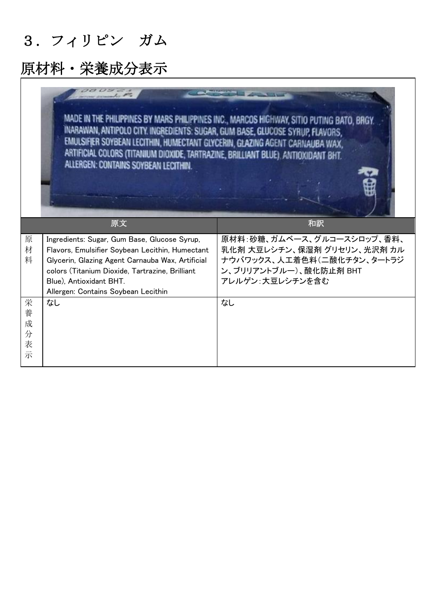### 3.フィリピン ガム

|                            | MADE IN THE PHILIPPINES BY MARS PHILIPPINES INC., MARCOS HIGHWAY, SITIO PUTING BATO, BRGY.<br>INARAWAN, ANTIPOLO CITY. INGREDIENTS: SUGAR, GUM BASE, GLUCOSE SYRUP, FLAVORS.<br>EMULSIFIER SOYBEAN LECITHIN, HUMECTANT GLYCERIN, GLAZING AGENT CARNAUBA WAX,<br>ARTIFICIAL COLORS (TITANIUM DIOXIDE, TARTRAZINE, BRILLIANT BLUE). ANTIOXIDANT BHT.<br>ALLERGEN: CONTAINS SOYBEAN LECITHIN. |                                                                                                                                      |  |  |  |  |  |
|----------------------------|--------------------------------------------------------------------------------------------------------------------------------------------------------------------------------------------------------------------------------------------------------------------------------------------------------------------------------------------------------------------------------------------|--------------------------------------------------------------------------------------------------------------------------------------|--|--|--|--|--|
|                            | 原文                                                                                                                                                                                                                                                                                                                                                                                         | 和訳                                                                                                                                   |  |  |  |  |  |
| 原<br>材<br>料                | Ingredients: Sugar, Gum Base, Glucose Syrup,<br>Flavors, Emulsifier Soybean Lecithin, Humectant<br>Glycerin, Glazing Agent Carnauba Wax, Artificial<br>colors (Titanium Dioxide, Tartrazine, Brilliant<br>Blue), Antioxidant BHT.<br>Allergen: Contains Soybean Lecithin                                                                                                                   | 原材料:砂糖、ガムベース、グルコースシロップ、香料、<br>乳化剤 大豆レシチン、保湿剤 グリセリン、光沢剤 カル<br>ナウバワックス、人工着色料(二酸化チタン、タートラジ<br>ン、ブリリアントブルー)、酸化防止剤 BHT<br>アレルゲン:大豆レシチンを含む |  |  |  |  |  |
| 栄<br>養<br>成<br>分<br>表<br>示 | なし                                                                                                                                                                                                                                                                                                                                                                                         | なし                                                                                                                                   |  |  |  |  |  |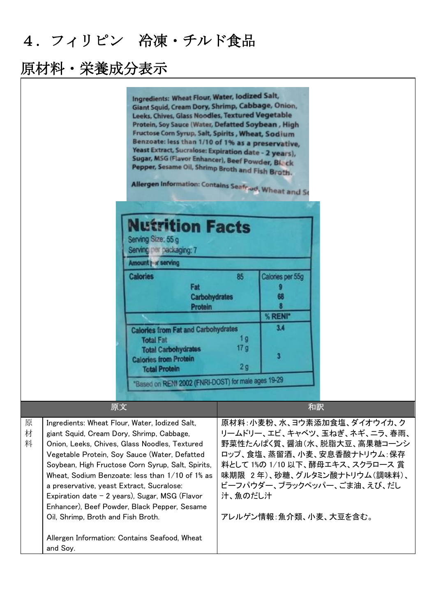#### 4.フィリピン 冷凍・チルド食品

#### 原材料・栄養成分表示

Ingredients: Wheat Flour, Water, Iodized Salt, Giant Squid, Cream Dory, Shrimp, Cabbage, Onion, Leeks, Chives, Glass Noodles, Textured Vegetable Protein, Soy Sauce (Water, Defatted Soybean, High Fructose Corn Syrup, Salt, Spirits, Wheat, Sodium Benzoate: less than 1/10 of 1% as a preservative, Yeast Extract, Sucralose: Expiration date - 2 years), Sugar, MSG (Flavor Enhancer), Beef Powder, Bl. ck

|             |                                                                                                                                                                                                                                                                                                                                                                                                                                                                                            |                                                                                                        | repper, sessine on, similing proth and Fish Broth.  |                                         | Allergen Information: Contains Seafrod, Wheat and So                                                                                                                                                                                             |    |
|-------------|--------------------------------------------------------------------------------------------------------------------------------------------------------------------------------------------------------------------------------------------------------------------------------------------------------------------------------------------------------------------------------------------------------------------------------------------------------------------------------------------|--------------------------------------------------------------------------------------------------------|-----------------------------------------------------|-----------------------------------------|--------------------------------------------------------------------------------------------------------------------------------------------------------------------------------------------------------------------------------------------------|----|
|             |                                                                                                                                                                                                                                                                                                                                                                                                                                                                                            | <b>Nutrition Facts</b><br>Serving Size: 55 g<br>Serving ner packaging: 7                               |                                                     |                                         |                                                                                                                                                                                                                                                  |    |
|             |                                                                                                                                                                                                                                                                                                                                                                                                                                                                                            | Amount   x serving                                                                                     |                                                     |                                         |                                                                                                                                                                                                                                                  |    |
|             |                                                                                                                                                                                                                                                                                                                                                                                                                                                                                            | <b>Calories</b>                                                                                        | Fat<br><b>Carbohydrates</b><br>Protein              | 85                                      | Calories per 55g<br>68                                                                                                                                                                                                                           |    |
|             |                                                                                                                                                                                                                                                                                                                                                                                                                                                                                            |                                                                                                        |                                                     |                                         | % RENI*                                                                                                                                                                                                                                          |    |
|             |                                                                                                                                                                                                                                                                                                                                                                                                                                                                                            | <b>Total Fat</b><br><b>Total Carbohydrates</b><br><b>Calories from Protein</b><br><b>Total Protein</b> | <b>Calories from Fat and Carbohydrates</b>          | 1 <sub>g</sub><br>17 <sub>g</sub><br>2g | 3.4<br>$\overline{\mathbf{3}}$                                                                                                                                                                                                                   |    |
|             |                                                                                                                                                                                                                                                                                                                                                                                                                                                                                            |                                                                                                        | "Based on RENI 2002 (FNRI-DOST) for male ages 19-29 |                                         |                                                                                                                                                                                                                                                  |    |
|             | 原文                                                                                                                                                                                                                                                                                                                                                                                                                                                                                         |                                                                                                        |                                                     |                                         |                                                                                                                                                                                                                                                  | 和訳 |
|             |                                                                                                                                                                                                                                                                                                                                                                                                                                                                                            |                                                                                                        |                                                     |                                         |                                                                                                                                                                                                                                                  |    |
| 原<br>材<br>料 | Ingredients: Wheat Flour, Water, Iodized Salt,<br>giant Squid, Cream Dory, Shrimp, Cabbage,<br>Onion, Leeks, Chives, Glass Noodles, Textured<br>Vegetable Protein, Soy Sauce (Water, Defatted<br>Soybean, High Fructose Corn Syrup, Salt, Spirits,<br>Wheat, Sodium Benzoate: less than 1/10 of 1% as<br>a preservative, yeast Extract, Sucralose:<br>Expiration date - 2 years), Sugar, MSG (Flavor<br>Enhancer), Beef Powder, Black Pepper, Sesame<br>Oil, Shrimp, Broth and Fish Broth. |                                                                                                        | 汁、魚のだし汁                                             |                                         | 原材料:小麦粉、水、ヨウ素添加食塩、ダイオウイカ、ク<br>リームドリー、エビ、キャベツ、玉ねぎ、ネギ、ニラ、春雨、<br>野菜性たんぱく質、醤油(水、脱脂大豆、高果糖コーンシ<br>ロップ、食塩、蒸留酒、小麦、安息香酸ナトリウム:保存<br>料として 1%の 1/10 以下、酵母エキス、スクラロース 賞<br>味期限 2年)、砂糖、グルタミン酸ナトリウム(調味料)、<br>ビーフパウダー、ブラックペッパー、ごま油、えび、だし<br>アレルゲン情報:魚介類、小麦、大豆を含む。 |    |

Allergen Information: Contains Seafood, Wheat and Soy.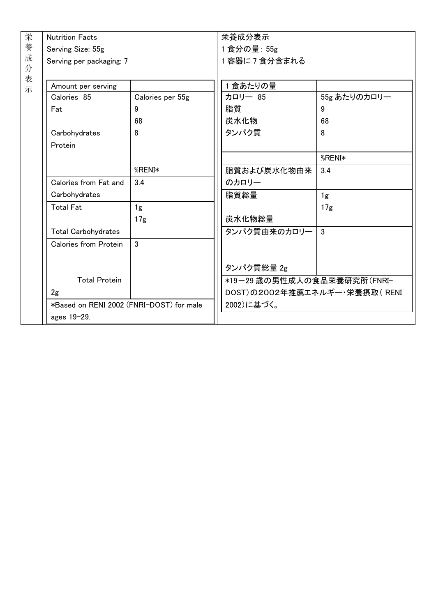| 栄      | <b>Nutrition Facts</b><br>Serving Size: 55g<br>Serving per packaging: 7 |                  | 栄養成分表示<br>1食分の量: 55g         |                 |  |
|--------|-------------------------------------------------------------------------|------------------|------------------------------|-----------------|--|
| 養      |                                                                         |                  |                              |                 |  |
| 成      |                                                                         |                  | 1容器に7食分含まれる                  |                 |  |
| 分<br>表 |                                                                         |                  |                              |                 |  |
| 示      | Amount per serving                                                      |                  | 1食あたりの量                      |                 |  |
|        | Calories 85                                                             | Calories per 55g | カロリー 85                      | 55g あたりのカロリー    |  |
|        | Fat                                                                     | 9                | 脂質                           | 9               |  |
|        |                                                                         | 68               | 炭水化物                         | 68              |  |
|        | Carbohydrates                                                           | 8                | タンパク質                        | 8               |  |
|        | Protein                                                                 |                  |                              |                 |  |
|        |                                                                         |                  |                              | %RENI*          |  |
|        |                                                                         | %RENI*           | 脂質および炭水化物由来                  | 3.4             |  |
|        | Calories from Fat and                                                   | 3.4              | のカロリー                        |                 |  |
|        | Carbohydrates                                                           |                  | 脂質総量                         | 1g              |  |
|        | <b>Total Fat</b>                                                        | 1g               |                              | 17 <sub>g</sub> |  |
|        |                                                                         | 17 <sub>g</sub>  | 炭水化物総量                       |                 |  |
|        | <b>Total Carbohydrates</b>                                              |                  | タンパク質由来のカロリー                 | 3               |  |
|        | <b>Calories from Protein</b>                                            | 3                |                              |                 |  |
|        |                                                                         |                  |                              |                 |  |
|        |                                                                         |                  | タンパク質総量 2g                   |                 |  |
|        | <b>Total Protein</b>                                                    |                  | *19-29 歳の男性成人の食品栄養研究所(FNRI-  |                 |  |
|        | 2g                                                                      |                  | DOST)の2002年推薦エネルギー・栄養摂取(RENI |                 |  |
|        | *Based on RENI 2002 (FNRI-DOST) for male                                |                  | 2002)に基づく。                   |                 |  |
|        | ages 19-29.                                                             |                  |                              |                 |  |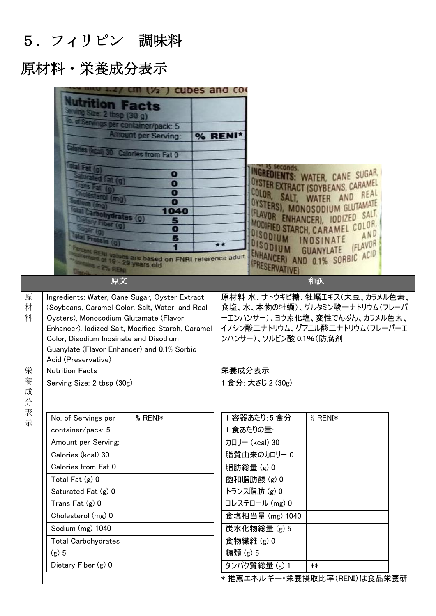### 5.フィリピン 調味料

| <b>REAL values are based on FNRI reference adult</b><br>ENHANCER) AND 0.1% SORBIC ACID<br>ment of 19 - 29 years old<br><b>IPRESERVATIVE</b><br><b><i><u>America</u></i></b> Constitution<br>和訳<br>原文<br>原材料 水、サトウキビ糖、牡蠣エキス(大豆、カラメル色素、<br>原<br>Ingredients: Water, Cane Sugar, Oyster Extract<br>材<br>食塩、水、本物の牡蠣)、グルタミン酸一ナトリウム(フレーバ<br>(Soybeans, Caramel Color, Salt, Water, and Real<br>料<br>ーエンハンサー)、ヨウ素化塩、変性でんぷん、カラメル色素、<br>Oysters), Monosodium Glutamate (Flavor<br>イノシン酸二ナトリウム、グアニル酸二ナトリウム(フレーバーエ<br>Enhancer), Iodized Salt, Modified Starch, Caramel<br>ンハンサー)、ソルビン酸 0.1%(防腐剤<br>Color, Disodium Inosinate and Disodium<br>Guanylate (Flavor Enhancer) and 0.1% Sorbic<br>Acid (Preservative)<br>栄<br><b>Nutrition Facts</b><br>栄養成分表示<br>養<br>1 食分: 大さじ 2 (30g)<br>Serving Size: 2 tbsp (30g)<br>成<br>分<br>表示<br>1 容器あたり:5 食分<br>% RENI*<br>% RENI*<br>No. of Servings per<br>1 食あたりの量:<br>container/pack: 5<br>Amount per Serving:<br>カロリー (kcal) 30<br>Calories (kcal) 30<br>脂質由来のカロリー 0<br>Calories from Fat 0<br>脂肪総量(g) 0<br>飽和脂肪酸(g) 0<br>Total Fat $(g)$ 0<br>トランス脂肪 (g) 0<br>Saturated Fat (g) 0<br>Trans Fat (g) 0<br>コレステロール (mg) 0<br>Cholesterol (mg) 0<br>食塩相当量 (mg) 1040<br>Sodium (mg) 1040<br>炭水化物総量(g) 5<br>食物繊維(g) 0<br><b>Total Carbohydrates</b><br>$(g)$ 5<br>糖類(g) 5<br>Dietary Fiber (g) 0<br>タンパク質総量(g) 1<br>$**$<br>* 推薦エネルギー・栄養摂取比率(RENI)は食品栄養研 | <b><u>Iutrition Facts</u></b><br>wing Size: 2 thsp (30 g)<br>a of Servings per container/pack: 5<br>d Fat (g)<br>vdrates (g) | <b>Amount per Serving:</b><br><b>Ical) 30 Calories from Fat 0</b><br>0<br>$\bf{o}$<br>$\bf{o}$<br>O<br>1040<br>5<br>O<br>5 | cubes and coo<br>% RENI*<br>** | OYSTER EXTRACT (SOYBEAN<br>COLOR.<br>SALI.<br>OYSTERSI, MONOSODI<br><b>IFLAVOR ENHANCER), IOD</b><br><b>MODIFIED STARCH, CAR</b><br>DISODIUM<br>DISODIUM | INGREDIENTS: WATER, CANE SUGAR,<br>VS, CARAMEL<br>REAL<br><b>GLUTAMATE</b><br><b>SALT</b><br>OR.<br>AND<br><b>IFLAVOR</b><br><b>GUANYLATE</b> |  |
|------------------------------------------------------------------------------------------------------------------------------------------------------------------------------------------------------------------------------------------------------------------------------------------------------------------------------------------------------------------------------------------------------------------------------------------------------------------------------------------------------------------------------------------------------------------------------------------------------------------------------------------------------------------------------------------------------------------------------------------------------------------------------------------------------------------------------------------------------------------------------------------------------------------------------------------------------------------------------------------------------------------------------------------------------------------------------------------------------------------------------------------------------------------------------------------------------------------------------------------------------------------------------------------------------------------------------------------------------------------------------------|------------------------------------------------------------------------------------------------------------------------------|----------------------------------------------------------------------------------------------------------------------------|--------------------------------|----------------------------------------------------------------------------------------------------------------------------------------------------------|-----------------------------------------------------------------------------------------------------------------------------------------------|--|
|                                                                                                                                                                                                                                                                                                                                                                                                                                                                                                                                                                                                                                                                                                                                                                                                                                                                                                                                                                                                                                                                                                                                                                                                                                                                                                                                                                                    |                                                                                                                              |                                                                                                                            |                                |                                                                                                                                                          |                                                                                                                                               |  |
|                                                                                                                                                                                                                                                                                                                                                                                                                                                                                                                                                                                                                                                                                                                                                                                                                                                                                                                                                                                                                                                                                                                                                                                                                                                                                                                                                                                    |                                                                                                                              |                                                                                                                            |                                |                                                                                                                                                          |                                                                                                                                               |  |
|                                                                                                                                                                                                                                                                                                                                                                                                                                                                                                                                                                                                                                                                                                                                                                                                                                                                                                                                                                                                                                                                                                                                                                                                                                                                                                                                                                                    |                                                                                                                              |                                                                                                                            |                                |                                                                                                                                                          |                                                                                                                                               |  |
|                                                                                                                                                                                                                                                                                                                                                                                                                                                                                                                                                                                                                                                                                                                                                                                                                                                                                                                                                                                                                                                                                                                                                                                                                                                                                                                                                                                    |                                                                                                                              |                                                                                                                            |                                |                                                                                                                                                          |                                                                                                                                               |  |
|                                                                                                                                                                                                                                                                                                                                                                                                                                                                                                                                                                                                                                                                                                                                                                                                                                                                                                                                                                                                                                                                                                                                                                                                                                                                                                                                                                                    |                                                                                                                              |                                                                                                                            |                                |                                                                                                                                                          |                                                                                                                                               |  |
|                                                                                                                                                                                                                                                                                                                                                                                                                                                                                                                                                                                                                                                                                                                                                                                                                                                                                                                                                                                                                                                                                                                                                                                                                                                                                                                                                                                    |                                                                                                                              |                                                                                                                            |                                |                                                                                                                                                          |                                                                                                                                               |  |
|                                                                                                                                                                                                                                                                                                                                                                                                                                                                                                                                                                                                                                                                                                                                                                                                                                                                                                                                                                                                                                                                                                                                                                                                                                                                                                                                                                                    |                                                                                                                              |                                                                                                                            |                                |                                                                                                                                                          |                                                                                                                                               |  |
|                                                                                                                                                                                                                                                                                                                                                                                                                                                                                                                                                                                                                                                                                                                                                                                                                                                                                                                                                                                                                                                                                                                                                                                                                                                                                                                                                                                    |                                                                                                                              |                                                                                                                            |                                |                                                                                                                                                          |                                                                                                                                               |  |
|                                                                                                                                                                                                                                                                                                                                                                                                                                                                                                                                                                                                                                                                                                                                                                                                                                                                                                                                                                                                                                                                                                                                                                                                                                                                                                                                                                                    |                                                                                                                              |                                                                                                                            |                                |                                                                                                                                                          |                                                                                                                                               |  |
|                                                                                                                                                                                                                                                                                                                                                                                                                                                                                                                                                                                                                                                                                                                                                                                                                                                                                                                                                                                                                                                                                                                                                                                                                                                                                                                                                                                    |                                                                                                                              |                                                                                                                            |                                |                                                                                                                                                          |                                                                                                                                               |  |
|                                                                                                                                                                                                                                                                                                                                                                                                                                                                                                                                                                                                                                                                                                                                                                                                                                                                                                                                                                                                                                                                                                                                                                                                                                                                                                                                                                                    |                                                                                                                              |                                                                                                                            |                                |                                                                                                                                                          |                                                                                                                                               |  |
|                                                                                                                                                                                                                                                                                                                                                                                                                                                                                                                                                                                                                                                                                                                                                                                                                                                                                                                                                                                                                                                                                                                                                                                                                                                                                                                                                                                    |                                                                                                                              |                                                                                                                            |                                |                                                                                                                                                          |                                                                                                                                               |  |
|                                                                                                                                                                                                                                                                                                                                                                                                                                                                                                                                                                                                                                                                                                                                                                                                                                                                                                                                                                                                                                                                                                                                                                                                                                                                                                                                                                                    |                                                                                                                              |                                                                                                                            |                                |                                                                                                                                                          |                                                                                                                                               |  |
|                                                                                                                                                                                                                                                                                                                                                                                                                                                                                                                                                                                                                                                                                                                                                                                                                                                                                                                                                                                                                                                                                                                                                                                                                                                                                                                                                                                    |                                                                                                                              |                                                                                                                            |                                |                                                                                                                                                          |                                                                                                                                               |  |
|                                                                                                                                                                                                                                                                                                                                                                                                                                                                                                                                                                                                                                                                                                                                                                                                                                                                                                                                                                                                                                                                                                                                                                                                                                                                                                                                                                                    |                                                                                                                              |                                                                                                                            |                                |                                                                                                                                                          |                                                                                                                                               |  |
|                                                                                                                                                                                                                                                                                                                                                                                                                                                                                                                                                                                                                                                                                                                                                                                                                                                                                                                                                                                                                                                                                                                                                                                                                                                                                                                                                                                    |                                                                                                                              |                                                                                                                            |                                |                                                                                                                                                          |                                                                                                                                               |  |
|                                                                                                                                                                                                                                                                                                                                                                                                                                                                                                                                                                                                                                                                                                                                                                                                                                                                                                                                                                                                                                                                                                                                                                                                                                                                                                                                                                                    |                                                                                                                              |                                                                                                                            |                                |                                                                                                                                                          |                                                                                                                                               |  |
|                                                                                                                                                                                                                                                                                                                                                                                                                                                                                                                                                                                                                                                                                                                                                                                                                                                                                                                                                                                                                                                                                                                                                                                                                                                                                                                                                                                    |                                                                                                                              |                                                                                                                            |                                |                                                                                                                                                          |                                                                                                                                               |  |